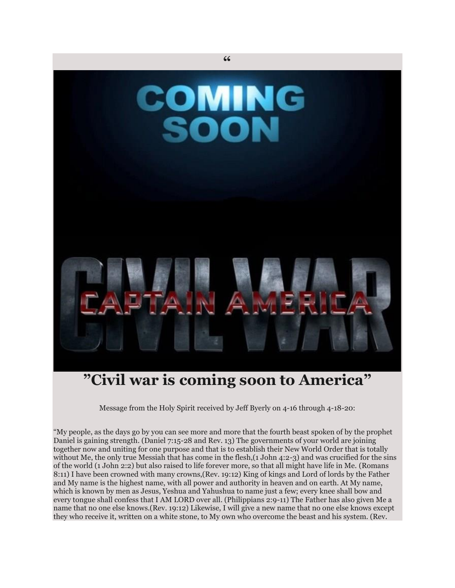

## **"Civil war is coming soon to America"**

Message from the Holy Spirit received by Jeff Byerly on 4-16 through 4-18-20:

"My people, as the days go by you can see more and more that the fourth beast spoken of by the prophet Daniel is gaining strength. (Daniel 7:15-28 and Rev. 13) The governments of your world are joining together now and uniting for one purpose and that is to establish their New World Order that is totally without Me, the only true Messiah that has come in the flesh,(1 John 4:2-3) and was crucified for the sins of the world (1 John 2:2) but also raised to life forever more, so that all might have life in Me. (Romans 8:11) I have been crowned with many crowns,(Rev. 19:12) King of kings and Lord of lords by the Father and My name is the highest name, with all power and authority in heaven and on earth. At My name, which is known by men as Jesus, Yeshua and Yahushua to name just a few; every knee shall bow and every tongue shall confess that I AM LORD over all. (Philippians 2:9-11) The Father has also given Me a name that no one else knows.(Rev. 19:12) Likewise, I will give a new name that no one else knows except they who receive it, written on a white stone, to My own who overcome the beast and his system. (Rev.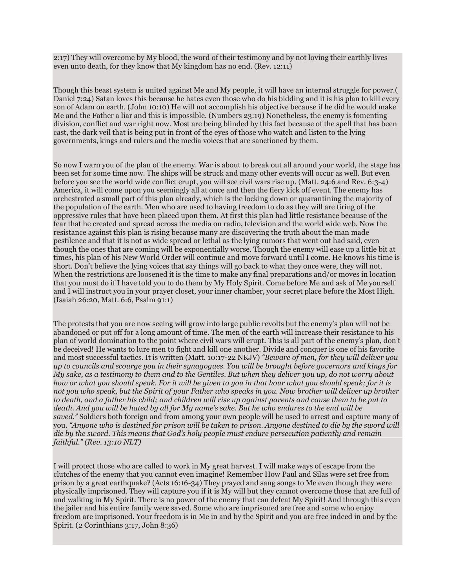2:17) They will overcome by My blood, the word of their testimony and by not loving their earthly lives even unto death, for they know that My kingdom has no end. (Rev. 12:11)

Though this beast system is united against Me and My people, it will have an internal struggle for power.( Daniel 7:24) Satan loves this because he hates even those who do his bidding and it is his plan to kill every son of Adam on earth. (John 10:10) He will not accomplish his objective because if he did he would make Me and the Father a liar and this is impossible. (Numbers 23:19) Nonetheless, the enemy is fomenting division, conflict and war right now. Most are being blinded by this fact because of the spell that has been cast, the dark veil that is being put in front of the eyes of those who watch and listen to the lying governments, kings and rulers and the media voices that are sanctioned by them.

So now I warn you of the plan of the enemy. War is about to break out all around your world, the stage has been set for some time now. The ships will be struck and many other events will occur as well. But even before you see the world wide conflict erupt, you will see civil wars rise up. (Matt. 24:6 and Rev. 6:3-4) America, it will come upon you seemingly all at once and then the fiery kick off event. The enemy has orchestrated a small part of this plan already, which is the locking down or quarantining the majority of the population of the earth. Men who are used to having freedom to do as they will are tiring of the oppressive rules that have been placed upon them. At first this plan had little resistance because of the fear that he created and spread across the media on radio, television and the world wide web. Now the resistance against this plan is rising because many are discovering the truth about the man made pestilence and that it is not as wide spread or lethal as the lying rumors that went out had said, even though the ones that are coming will be exponentially worse. Though the enemy will ease up a little bit at times, his plan of his New World Order will continue and move forward until I come. He knows his time is short. Don't believe the lying voices that say things will go back to what they once were, they will not. When the restrictions are loosened it is the time to make any final preparations and/or moves in location that you must do if I have told you to do them by My Holy Spirit. Come before Me and ask of Me yourself and I will instruct you in your prayer closet, your inner chamber, your secret place before the Most High. (Isaiah 26:20, Matt. 6:6, Psalm 91:1)

The protests that you are now seeing will grow into large public revolts but the enemy's plan will not be abandoned or put off for a long amount of time. The men of the earth will increase their resistance to his plan of world domination to the point where civil wars will erupt. This is all part of the enemy's plan, don't be deceived! He wants to lure men to fight and kill one another. Divide and conquer is one of his favorite and most successful tactics. It is written (Matt. 10:17-22 NKJV) *"Beware of men, for they will deliver you up to councils and scourge you in their synagogues. You will be brought before governors and kings for My sake, as a testimony to them and to the Gentiles. But when they deliver you up, do not worry about how or what you should speak. For it will be given to you in that hour what you should speak; for it is not you who speak, but the Spirit of your Father who speaks in you. Now brother will deliver up brother to death, and a father his child; and children will rise up against parents and cause them to be put to death. And you will be hated by all for My name's sake. But he who endures to the end will be saved."* Soldiers both foreign and from among your own people will be used to arrest and capture many of you. *"Anyone who is destined for prison will be taken to prison. Anyone destined to die by the sword will die by the sword. This means that God's holy people must endure persecution patiently and remain faithful." (Rev. 13:10 NLT)*

I will protect those who are called to work in My great harvest. I will make ways of escape from the clutches of the enemy that you cannot even imagine! Remember How Paul and Silas were set free from prison by a great earthquake? (Acts 16:16-34) They prayed and sang songs to Me even though they were physically imprisoned. They will capture you if it is My will but they cannot overcome those that are full of and walking in My Spirit. There is no power of the enemy that can defeat My Spirit! And through this even the jailer and his entire family were saved. Some who are imprisoned are free and some who enjoy freedom are imprisoned. Your freedom is in Me in and by the Spirit and you are free indeed in and by the Spirit. (2 Corinthians 3:17, John 8:36)